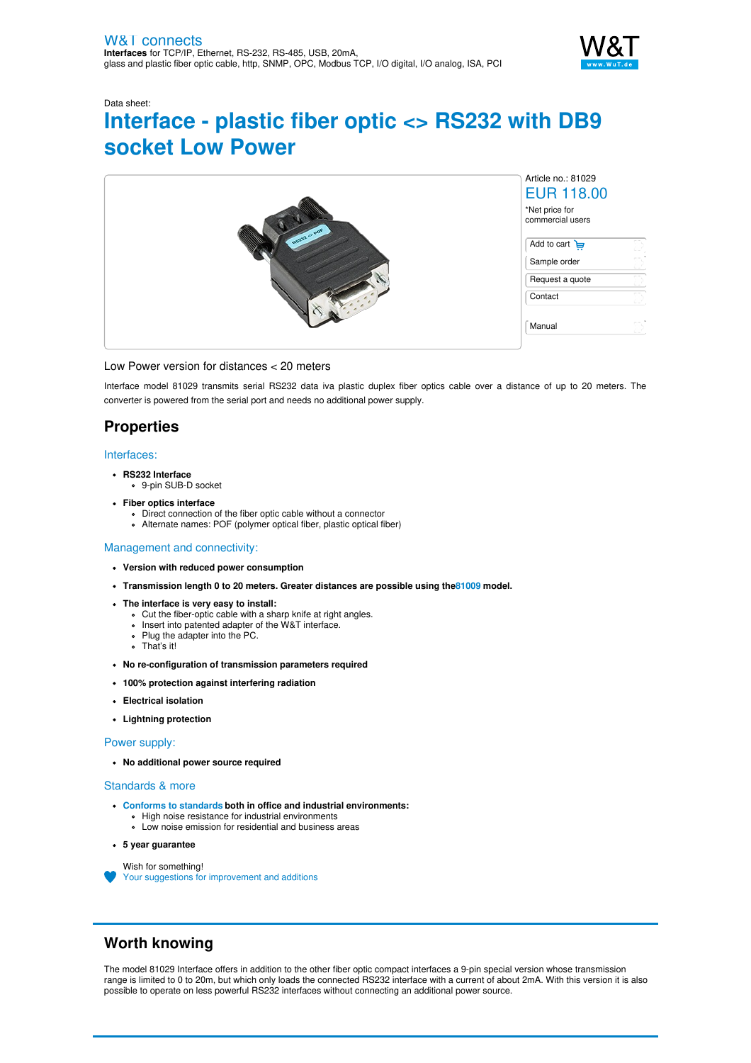

# Data sheet: **Interface - plastic fiber optic <> RS232 with DB9 socket Low Power**



#### Low Power version for distances < 20 meters

Interface model 81029 transmits serial RS232 data iva plastic duplex fiber optics cable over a distance of up to 20 meters. The converter is powered from the serial port and needs no additional power supply.

## **Properties**

#### Interfaces:

- **RS232 Interface**
- 9-pin SUB-D socket
- **Fiber optics interface**
	- Direct connection of the fiber optic cable without a connector
	- Alternate names: POF (polymer optical fiber, plastic optical fiber)

#### Management and connectivity:

- **Version with reduced power consumption**
- **Transmission length 0 to 20 meters. Greater distances are possible using th[e81009](https://www.wut.de/e-81009-ww-daus-000.php) model.**
- **The interface is very easy to install:**
	- Cut the fiber-optic cable with a sharp knife at right angles.
	- Insert into patented adapter of the W&T interface.
	- Plug the adapter into the PC.
	- That's it!
- **No re-configuration of transmission parameters required**
- **100% protection against interfering radiation**
- **Electrical isolation**
- **Lightning protection**

#### Power supply:

**No additional power source required**

#### Standards & more

- **Conforms to [standards](https://www.wut.de/download/ce/e-81029-10-rdus-000.pdf) both in office and industrial environments:**
	- High noise resistance for industrial environments Low noise emission for residential and business areas
- **5 year guarantee**

Wish for something! Your suggestions for [improvement](https://www.wut.de/e-wwwww-ws-orus-000.php?ArticleNr=81029) and additions

### **Worth knowing**

The model 81029 Interface offers in addition to the other fiber optic compact interfaces a 9-pin special version whose transmission range is limited to 0 to 20m, but which only loads the connected RS232 interface with a current of about 2mA. With this version it is also possible to operate on less powerful RS232 interfaces without connecting an additional power source.